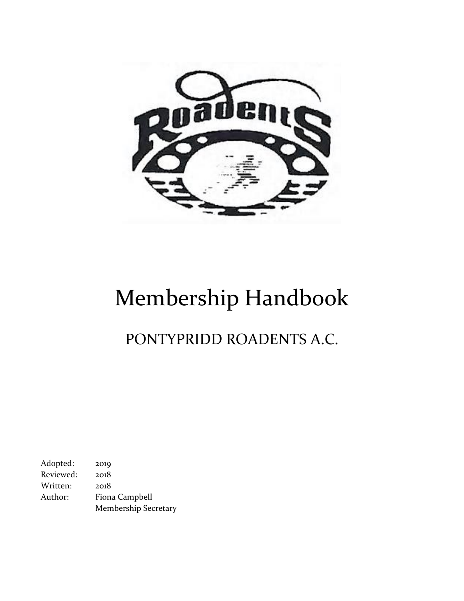

# Membership Handbook

PONTYPRIDD ROADENTS A.C.

Adopted: 2019 Reviewed: 2018 Written: 2018 Author: Fiona Campbell Membership Secretary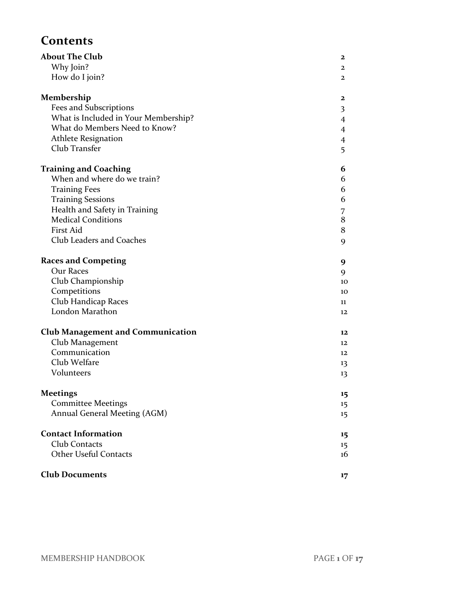# **Contents**

| <b>About The Club</b>                    | $\mathbf{2}$            |
|------------------------------------------|-------------------------|
| Why Join?                                | $\mathbf{2}$            |
| How do I join?                           | $\mathbf{2}$            |
| Membership                               | $\mathbf{2}$            |
| Fees and Subscriptions                   | $\overline{\mathbf{3}}$ |
| What is Included in Your Membership?     | $\overline{4}$          |
| What do Members Need to Know?            | $\overline{4}$          |
| <b>Athlete Resignation</b>               | $\overline{4}$          |
| Club Transfer                            | 5                       |
| <b>Training and Coaching</b>             | 6                       |
| When and where do we train?              | 6                       |
| <b>Training Fees</b>                     | 6                       |
| <b>Training Sessions</b>                 | 6                       |
| Health and Safety in Training            | 7                       |
| <b>Medical Conditions</b>                | $\bf 8$                 |
| First Aid                                | $\bf 8$                 |
| Club Leaders and Coaches                 | 9                       |
| <b>Races and Competing</b>               | 9                       |
| Our Races                                | 9                       |
| Club Championship                        | 10                      |
| Competitions                             | 10                      |
| Club Handicap Races                      | 11                      |
| London Marathon                          | 12                      |
| <b>Club Management and Communication</b> | 12                      |
| Club Management                          | 12                      |
| Communication                            | 12                      |
| Club Welfare                             | 13                      |
| Volunteers                               | 13                      |
| <b>Meetings</b>                          | 15                      |
| <b>Committee Meetings</b>                | 15                      |
| Annual General Meeting (AGM)             | 15                      |
| <b>Contact Information</b>               | 15                      |
| Club Contacts                            | 15                      |
| <b>Other Useful Contacts</b>             | 16                      |
| <b>Club Documents</b>                    | 17                      |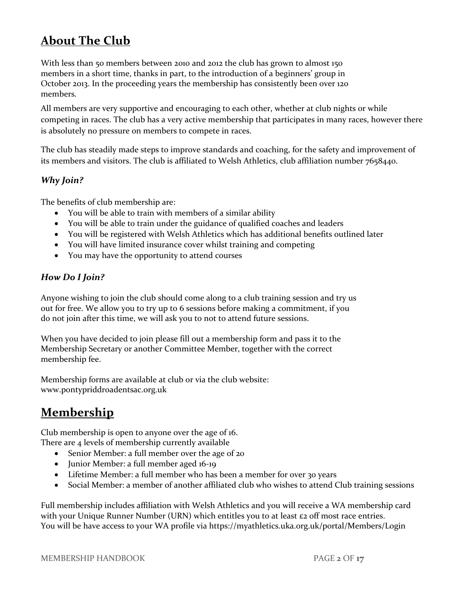# **About The Club**

With less than 50 members between 2010 and 2012 the club has grown to almost 150 members in a short time, thanks in part, to the introduction of a beginners' group in October 2013. In the proceeding years the membership has consistently been over 120 members.

All members are very supportive and encouraging to each other, whether at club nights or while competing in races. The club has a very active membership that participates in many races, however there is absolutely no pressure on members to compete in races.

The club has steadily made steps to improve standards and coaching, for the safety and improvement of its members and visitors. The club is affiliated to Welsh Athletics, club affiliation number 7658440.

# *Why Join?*

The benefits of club membership are:

- You will be able to train with members of a similar ability
- You will be able to train under the guidance of qualified coaches and leaders
- You will be registered with Welsh Athletics which has additional benefits outlined later
- You will have limited insurance cover whilst training and competing
- You may have the opportunity to attend courses

## *How Do I Join?*

Anyone wishing to join the club should come along to a club training session and try us out for free. We allow you to try up to 6 sessions before making a commitment, if you do not join after this time, we will ask you to not to attend future sessions.

When you have decided to join please fill out a membership form and pass it to the Membership Secretary or another Committee Member, together with the correct membership fee.

Membership forms are available at club or via the club website: [www.pontypriddroadentsac.org.uk](http://www.pontypriddroadentsac.org.uk/)

# **Membership**

Club membership is open to anyone over the age of 16. There are 4 levels of membership currently available

- Senior Member: a full member over the age of 20
- Junior Member: a full member aged 16-19
- Lifetime Member: a full member who has been a member for over 30 years
- Social Member: a member of another affiliated club who wishes to attend Club training sessions

Full membership includes affiliation with Welsh Athletics and you will receive a WA membership card with your Unique Runner Number (URN) which entitles you to at least  $\epsilon_2$  off most race entries. You will be have access to your WA profile via https://myathletics.uka.org.uk/portal/Members/Login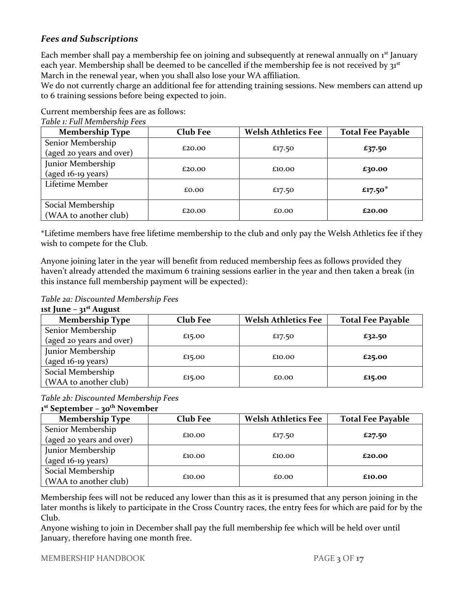# *Fees and Subscriptions*

Each member shall pay a membership fee on joining and subsequently at renewal annually on 1<sup>st</sup> January each year. Membership shall be deemed to be cancelled if the membership fee is not received by  $a^{st}$ March in the renewal year, when you shall also lose your WA affiliation.

We do not currently charge an additional fee for attending training sessions. New members can attend up to 6 training sessions before being expected to join.

Current membership fees are as follows:

| <b>Membership Type</b>                     | <b>Club Fee</b> | <b>Welsh Athletics Fee</b> | <b>Total Fee Payable</b> |
|--------------------------------------------|-----------------|----------------------------|--------------------------|
| Senior Membership                          |                 |                            |                          |
| (aged 20 years and over)                   | £20.00          | £17.50                     | £37.50                   |
| Junior Membership                          |                 |                            |                          |
| $(aged 16-19 years)$                       | £20.00          | £10.00                     | £30.00                   |
| Lifetime Member                            | £0.00           | £17.50                     | £17.50 $*$               |
| Social Membership<br>(WAA to another club) | £20.00          | £0.00                      | £20.00                   |

#### *Table 1: Full Membership Fees*

\*Lifetime members have free lifetime membership to the club and only pay the Welsh Athletics fee if they wish to compete for the Club.

Anyone joining later in the year will benefit from reduced membership fees as follows provided they haven't already attended the maximum 6 training sessions earlier in the year and then taken a break (in this instance full membership payment will be expected):

*Table 2a: Discounted Membership Fees*

| 1st June $-31st$ August |  |  |
|-------------------------|--|--|
|-------------------------|--|--|

| <b>Membership Type</b>   | <b>Club Fee</b> | <b>Welsh Athletics Fee</b> | <b>Total Fee Payable</b> |
|--------------------------|-----------------|----------------------------|--------------------------|
| Senior Membership        |                 |                            |                          |
| (aged 20 years and over) | £15.00          | £17.50                     | £32.50                   |
| Junior Membership        |                 |                            |                          |
| $(aged 16-19 years)$     | £15.00          | £10.00                     | £25.00                   |
| Social Membership        |                 |                            |                          |
| (WAA to another club)    | £15.00          | £0.00                      | £15.00                   |

#### *Table 2b: Discounted Membership Fees* **1 st September – 30th November**

| <b>Membership Type</b>   | <b>Club Fee</b> | <b>Welsh Athletics Fee</b> | <b>Total Fee Payable</b> |
|--------------------------|-----------------|----------------------------|--------------------------|
| Senior Membership        |                 |                            |                          |
| (aged 20 years and over) | £10.00          | £17.50                     | £27.50                   |
| Junior Membership        |                 |                            |                          |
| $(aged 16-19 years)$     | £10.00          | £10.00                     | £20.00                   |
| Social Membership        |                 |                            |                          |
| (WAA to another club)    | £10.00          | £0.00                      | £10.00                   |

Membership fees will not be reduced any lower than this as it is presumed that any person joining in the later months is likely to participate in the Cross Country races, the entry fees for which are paid for by the Club.

Anyone wishing to join in December shall pay the full membership fee which will be held over until January, therefore having one month free.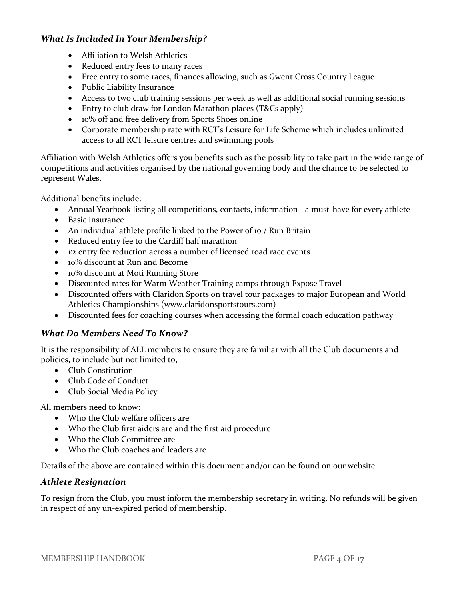# *What Is Included In Your Membership?*

- Affiliation to Welsh Athletics
- Reduced entry fees to many races
- Free entry to some races, finances allowing, such as Gwent Cross Country League
- Public Liability Insurance
- Access to two club training sessions per week as well as additional social running sessions
- Entry to club draw for London Marathon places (T&Cs apply)
- 10% off and free delivery from Sports Shoes online
- Corporate membership rate with RCT's Leisure for Life Scheme which includes unlimited access to all RCT leisure centres and swimming pools

Affiliation with Welsh Athletics offers you benefits such as the possibility to take part in the wide range of competitions and activities organised by the national governing body and the chance to be selected to represent Wales.

Additional benefits include:

- Annual Yearbook listing all competitions, contacts, information a must-have for every athlete
- Basic insurance
- An individual athlete profile linked to the Power of 10 / Run Britain
- Reduced entry fee to the Cardiff half marathon
- £2 entry fee reduction across a number of licensed road race events
- 10% discount at Run and Become
- 10% discount at Moti Running Store
- Discounted rates for Warm Weather Training camps through Expose Travel
- Discounted offers with Claridon Sports on travel tour packages to major European and World Athletics Championships [\(www.claridonsportstours.com\)](http://www.claridonsportstours.com/)
- Discounted fees for coaching courses when accessing the formal coach education pathway

## *What Do Members Need To Know?*

It is the responsibility of ALL members to ensure they are familiar with all the Club documents and policies, to include but not limited to,

- Club Constitution
- Club Code of Conduct
- Club Social Media Policy

All members need to know:

- Who the Club welfare officers are
- Who the Club first aiders are and the first aid procedure
- Who the Club Committee are
- Who the Club coaches and leaders are

Details of the above are contained within this document and/or can be found on our website.

## *Athlete Resignation*

To resign from the Club, you must inform the membership secretary in writing. No refunds will be given in respect of any un-expired period of membership.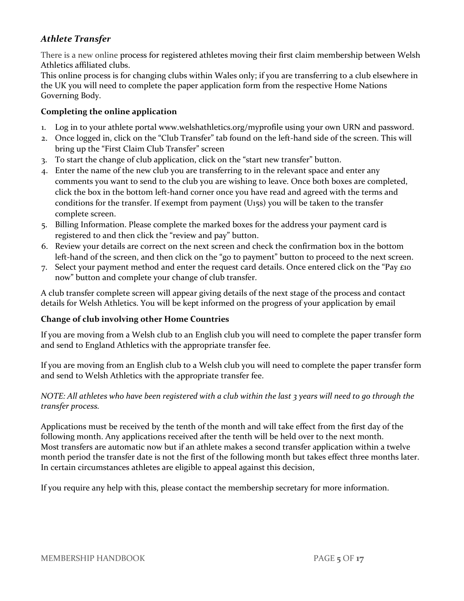# *Athlete Transfer*

There is a new online process for registered athletes moving their first claim membership between Welsh Athletics affiliated clubs.

This online process is for changing clubs within Wales only; if you are transferring to a club elsewhere in the UK you will need to complete the paper application form from the respective Home Nations Governing Body.

#### **Completing the online application**

- 1. Log in to your athlete portal [www.welshathletics.org/myprofile](http://www.welshathletics.org/myprofile) using your own URN and password.
- 2. Once logged in, click on the "Club Transfer" tab found on the left-hand side of the screen. This will bring up the "First Claim Club Transfer" screen
- 3. To start the change of club application, click on the "start new transfer" button.
- 4. Enter the name of the new club you are transferring to in the relevant space and enter any comments you want to send to the club you are wishing to leave. Once both boxes are completed, click the box in the bottom left-hand corner once you have read and agreed with the terms and conditions for the transfer. If exempt from payment (U15s) you will be taken to the transfer complete screen.
- 5. Billing Information. Please complete the marked boxes for the address your payment card is registered to and then click the "review and pay" button.
- 6. Review your details are correct on the next screen and check the confirmation box in the bottom left-hand of the screen, and then click on the "go to payment" button to proceed to the next screen.
- 7. Select your payment method and enter the request card details. Once entered click on the "Pay £10 now" button and complete your change of club transfer.

A club transfer complete screen will appear giving details of the next stage of the process and contact details for Welsh Athletics. You will be kept informed on the progress of your application by email

#### **Change of club involving other Home Countries**

If you are moving from a Welsh club to an English club you will need to complete the paper transfer form and send to England Athletics with the appropriate transfer fee.

If you are moving from an English club to a Welsh club you will need to complete the paper transfer form and send to Welsh Athletics with the appropriate transfer fee.

#### *NOTE: All athletes who have been registered with a club within the last 3 years will need to go through the transfer process.*

Applications must be received by the tenth of the month and will take effect from the first day of the following month. Any applications received after the tenth will be held over to the next month. Most transfers are automatic now but if an athlete makes a second transfer application within a twelve month period the transfer date is not the first of the following month but takes effect three months later. In certain circumstances athletes are eligible to appeal against this decision,

If you require any help with this, please contact the membership secretary for more information.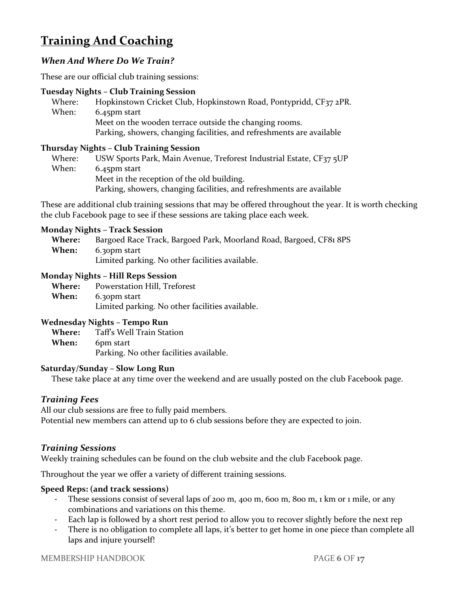# **Training And Coaching**

# *When And Where Do We Train?*

These are our official club training sessions:

#### **Tuesday Nights – Club Training Session**

| Where: | Hopkinstown Cricket Club, Hopkinstown Road, Pontypridd, CF37 2PR.     |
|--------|-----------------------------------------------------------------------|
| When:  | $6.45$ pm start                                                       |
|        | Meet on the wooden terrace outside the changing rooms.                |
|        | Parking, showers, changing facilities, and refreshments are available |

#### **Thursday Nights – Club Training Session**

Where: USW Sports Park, Main Avenue, Treforest Industrial Estate, CF37 5UP When: 6.45pm start Meet in the reception of the old building. Parking, showers, changing facilities, and refreshments are available

These are additional club training sessions that may be offered throughout the year. It is worth checking the club Facebook page to see if these sessions are taking place each week.

#### **Monday Nights – Track Session**

| <b>Where:</b> | Bargoed Race Track, Bargoed Park, Moorland Road, Bargoed, CF81 8PS |
|---------------|--------------------------------------------------------------------|
| When:         | 6.30pm start                                                       |
|               | Limited parking. No other facilities available.                    |

#### **Monday Nights – Hill Reps Session**

| <b>Where:</b> | Powerstation Hill, Treforest                    |
|---------------|-------------------------------------------------|
| <b>When:</b>  | 6.30pm start                                    |
|               | Limited parking. No other facilities available. |

#### **Wednesday Nights – Tempo Run**

**Where:** Taff's Well Train Station **When:** 6pm start Parking. No other facilities available.

#### **Saturday/Sunday – Slow Long Run**

These take place at any time over the weekend and are usually posted on the club Facebook page.

## *Training Fees*

All our club sessions are free to fully paid members.

Potential new members can attend up to 6 club sessions before they are expected to join.

#### *Training Sessions*

Weekly training schedules can be found on the club website and the club Facebook page.

Throughout the year we offer a variety of different training sessions.

#### **Speed Reps: (and track sessions)**

- These sessions consist of several laps of 200 m, 400 m, 600 m, 800 m, 1 km or 1 mile, or any combinations and variations on this theme.
- Each lap is followed by a short rest period to allow you to recover slightly before the next rep
- There is no obligation to complete all laps, it's better to get home in one piece than complete all laps and injure yourself!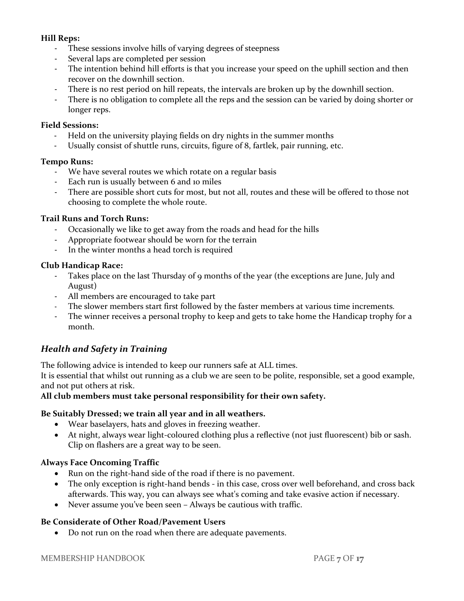#### **Hill Reps:**

- These sessions involve hills of varying degrees of steepness
- Several laps are completed per session
- The intention behind hill efforts is that you increase your speed on the uphill section and then recover on the downhill section.
- There is no rest period on hill repeats, the intervals are broken up by the downhill section.
- There is no obligation to complete all the reps and the session can be varied by doing shorter or longer reps.

#### **Field Sessions:**

- Held on the university playing fields on dry nights in the summer months
- Usually consist of shuttle runs, circuits, figure of 8, fartlek, pair running, etc.

#### **Tempo Runs:**

- We have several routes we which rotate on a regular basis
- Each run is usually between 6 and 10 miles
- There are possible short cuts for most, but not all, routes and these will be offered to those not choosing to complete the whole route.

#### **Trail Runs and Torch Runs:**

- Occasionally we like to get away from the roads and head for the hills
- Appropriate footwear should be worn for the terrain
- In the winter months a head torch is required

#### **Club Handicap Race:**

- Takes place on the last Thursday of 9 months of the year (the exceptions are June, July and August)
- All members are encouraged to take part
- The slower members start first followed by the faster members at various time increments.
- The winner receives a personal trophy to keep and gets to take home the Handicap trophy for a month.

## *Health and Safety in Training*

The following advice is intended to keep our runners safe at ALL times.

It is essential that whilst out running as a club we are seen to be polite, responsible, set a good example, and not put others at risk.

#### **All club members must take personal responsibility for their own safety.**

#### **Be Suitably Dressed; we train all year and in all weathers.**

- Wear baselayers, hats and gloves in freezing weather.
- At night, always wear light-coloured clothing plus a reflective (not just fluorescent) bib or sash. Clip on flashers are a great way to be seen.

#### **Always Face Oncoming Traffic**

- Run on the right-hand side of the road if there is no pavement.
- The only exception is right-hand bends in this case, cross over well beforehand, and cross back afterwards. This way, you can always see what's coming and take evasive action if necessary.
- Never assume you've been seen Always be cautious with traffic.

#### **Be Considerate of Other Road/Pavement Users**

• Do not run on the road when there are adequate pavements.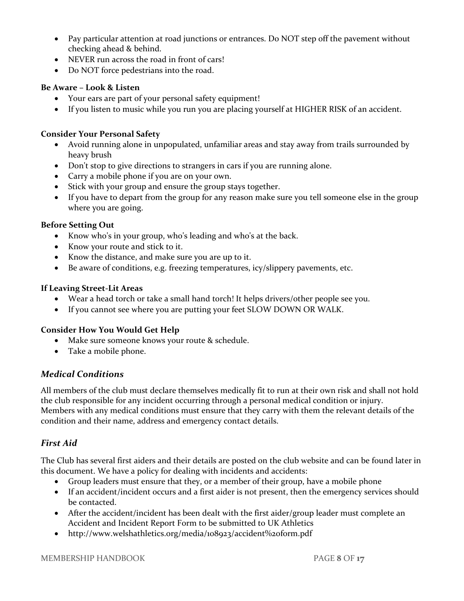- Pay particular attention at road junctions or entrances. Do NOT step off the pavement without checking ahead & behind.
- NEVER run across the road in front of cars!
- Do NOT force pedestrians into the road.

## **Be Aware – Look & Listen**

- Your ears are part of your personal safety equipment!
- If you listen to music while you run you are placing yourself at HIGHER RISK of an accident.

# **Consider Your Personal Safety**

- Avoid running alone in unpopulated, unfamiliar areas and stay away from trails surrounded by heavy brush
- Don't stop to give directions to strangers in cars if you are running alone.
- Carry a mobile phone if you are on your own.
- Stick with your group and ensure the group stays together.
- If you have to depart from the group for any reason make sure you tell someone else in the group where you are going.

# **Before Setting Out**

- Know who's in your group, who's leading and who's at the back.
- Know your route and stick to it.
- Know the distance, and make sure you are up to it.
- Be aware of conditions, e.g. freezing temperatures, icy/slippery pavements, etc.

# **If Leaving Street-Lit Areas**

- Wear a head torch or take a small hand torch! It helps drivers/other people see you.
- If you cannot see where you are putting your feet SLOW DOWN OR WALK.

# **Consider How You Would Get Help**

- Make sure someone knows your route & schedule.
- Take a mobile phone.

# *Medical Conditions*

All members of the club must declare themselves medically fit to run at their own risk and shall not hold the club responsible for any incident occurring through a personal medical condition or injury. Members with any medical conditions must ensure that they carry with them the relevant details of the condition and their name, address and emergency contact details.

# *First Aid*

The Club has several first aiders and their details are posted on the club website and can be found later in this document. We have a policy for dealing with incidents and accidents:

- Group leaders must ensure that they, or a member of their group, have a mobile phone
- If an accident/incident occurs and a first aider is not present, then the emergency services should be contacted.
- After the accident/incident has been dealt with the first aider/group leader must complete an Accident and Incident Report Form to be submitted to UK Athletics
- <http://www.welshathletics.org/media/108923/accident%20form.pdf>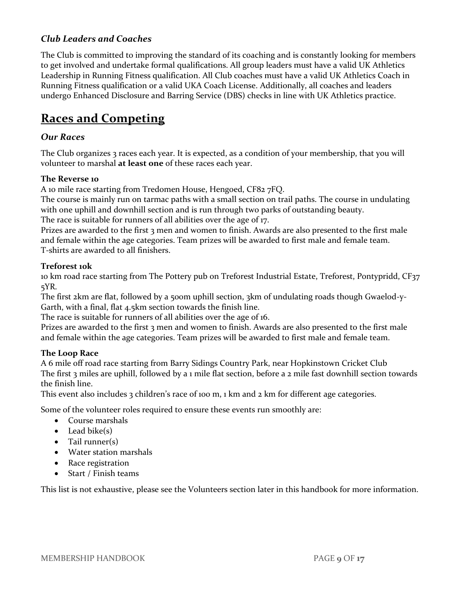# *Club Leaders and Coaches*

The Club is committed to improving the standard of its coaching and is constantly looking for members to get involved and undertake formal qualifications. All group leaders must have a valid UK Athletics Leadership in Running Fitness qualification. All Club coaches must have a valid UK Athletics Coach in Running Fitness qualification or a valid UKA Coach License. Additionally, all coaches and leaders undergo Enhanced Disclosure and Barring Service (DBS) checks in line with UK Athletics practice.

# **Races and Competing**

## *Our Races*

The Club organizes 3 races each year. It is expected, as a condition of your membership, that you will volunteer to marshal **at least one** of these races each year.

#### **The Reverse 10**

A 10 mile race starting from Tredomen House, Hengoed, CF82 7FQ.

The course is mainly run on tarmac paths with a small section on trail paths. The course in undulating with one uphill and downhill section and is run through two parks of outstanding beauty.

The race is suitable for runners of all abilities over the age of 17.

Prizes are awarded to the first 3 men and women to finish. Awards are also presented to the first male and female within the age categories. Team prizes will be awarded to first male and female team. T-shirts are awarded to all finishers.

#### **Treforest 10k**

10 km road race starting from The Pottery pub on Treforest Industrial Estate, Treforest, Pontypridd, CF37 5YR.

The first 2km are flat, followed by a 500m uphill section, 3km of undulating roads though Gwaelod-y-Garth, with a final, flat 4.5km section towards the finish line.

The race is suitable for runners of all abilities over the age of 16.

Prizes are awarded to the first 3 men and women to finish. Awards are also presented to the first male and female within the age categories. Team prizes will be awarded to first male and female team.

#### **The Loop Race**

A 6 mile off road race starting from Barry Sidings Country Park, near Hopkinstown Cricket Club The first 3 miles are uphill, followed by a 1 mile flat section, before a 2 mile fast downhill section towards the finish line.

This event also includes 3 children's race of 100 m, 1 km and 2 km for different age categories.

Some of the volunteer roles required to ensure these events run smoothly are:

- Course marshals
- $\bullet$  Lead bike(s)
- Tail runner(s)
- Water station marshals
- Race registration
- Start / Finish teams

This list is not exhaustive, please see the Volunteers section later in this handbook for more information.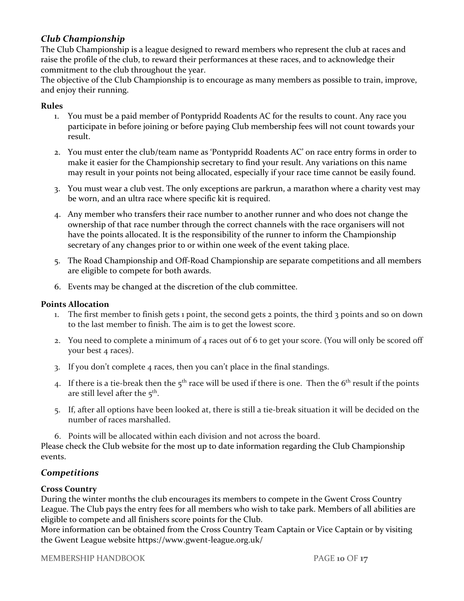# *Club Championship*

The Club Championship is a league designed to reward members who represent the club at races and raise the profile of the club, to reward their performances at these races, and to acknowledge their commitment to the club throughout the year.

The objective of the Club Championship is to encourage as many members as possible to train, improve, and enjoy their running.

#### **Rules**

- 1. You must be a paid member of Pontypridd Roadents AC for the results to count. Any race you participate in before joining or before paying Club membership fees will not count towards your result.
- 2. You must enter the club/team name as 'Pontypridd Roadents AC' on race entry forms in order to make it easier for the Championship secretary to find your result. Any variations on this name may result in your points not being allocated, especially if your race time cannot be easily found.
- 3. You must wear a club vest. The only exceptions are parkrun, a marathon where a charity vest may be worn, and an ultra race where specific kit is required.
- 4. Any member who transfers their race number to another runner and who does not change the ownership of that race number through the correct channels with the race organisers will not have the points allocated. It is the responsibility of the runner to inform the Championship secretary of any changes prior to or within one week of the event taking place.
- 5. The Road Championship and Off-Road Championship are separate competitions and all members are eligible to compete for both awards.
- 6. Events may be changed at the discretion of the club committee.

#### **Points Allocation**

- 1. The first member to finish gets 1 point, the second gets 2 points, the third 3 points and so on down to the last member to finish. The aim is to get the lowest score.
- 2. You need to complete a minimum of 4 races out of 6 to get your score. (You will only be scored off your best 4 races).
- 3. If you don't complete 4 races, then you can't place in the final standings.
- 4. If there is a tie-break then the  $5<sup>th</sup>$  race will be used if there is one. Then the  $6<sup>th</sup>$  result if the points are still level after the  $5^{\text{th}}$ .
- 5. If, after all options have been looked at, there is still a tie-break situation it will be decided on the number of races marshalled.
- 6. Points will be allocated within each division and not across the board.

Please check the Club website for the most up to date information regarding the Club Championship events.

## *Competitions*

#### **Cross Country**

During the winter months the club encourages its members to compete in the Gwent Cross Country League. The Club pays the entry fees for all members who wish to take park. Members of all abilities are eligible to compete and all finishers score points for the Club.

More information can be obtained from the Cross Country Team Captain or Vice Captain or by visiting the Gwent League website https://www.gwent-league.org.uk/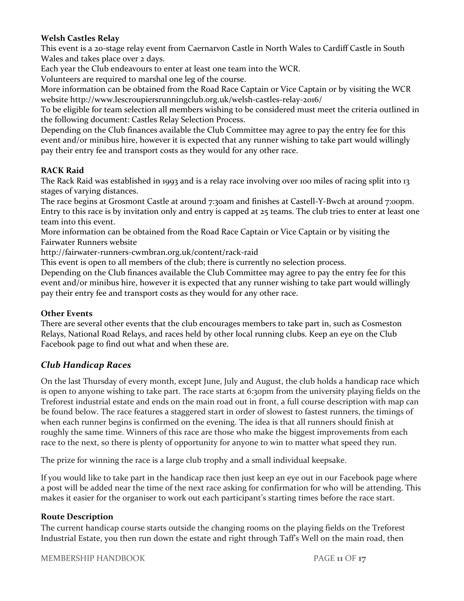#### **Welsh Castles Relay**

This event is a 20-stage relay event from Caernarvon Castle in North Wales to Cardiff Castle in South Wales and takes place over 2 days.

Each year the Club endeavours to enter at least one team into the WCR.

Volunteers are required to marshal one leg of the course.

More information can be obtained from the Road Race Captain or Vice Captain or by visiting the WCR website<http://www.lescroupiersrunningclub.org.uk/welsh-castles-relay-2016/>

To be eligible for team selection all members wishing to be considered must meet the criteria outlined in the following document: Castles Relay Selection Process.

Depending on the Club finances available the Club Committee may agree to pay the entry fee for this event and/or minibus hire, however it is expected that any runner wishing to take part would willingly pay their entry fee and transport costs as they would for any other race.

#### **RACK Raid**

The Rack Raid was established in 1993 and is a relay race involving over 100 miles of racing split into 13 stages of varying distances.

The race begins at Grosmont Castle at around 7:30am and finishes at Castell-Y-Bwch at around 7:00pm. Entry to this race is by invitation only and entry is capped at 25 teams. The club tries to enter at least one team into this event.

More information can be obtained from the Road Race Captain or Vice Captain or by visiting the Fairwater Runners website

<http://fairwater-runners-cwmbran.org.uk/content/rack-raid>

This event is open to all members of the club; there is currently no selection process.

Depending on the Club finances available the Club Committee may agree to pay the entry fee for this event and/or minibus hire, however it is expected that any runner wishing to take part would willingly pay their entry fee and transport costs as they would for any other race.

#### **Other Events**

There are several other events that the club encourages members to take part in, such as Cosmeston Relays, National Road Relays, and races held by other local running clubs. Keep an eye on the Club Facebook page to find out what and when these are.

## *Club Handicap Races*

On the last Thursday of every month, except June, July and August, the club holds a handicap race which is open to anyone wishing to take part. The race starts at 6:30pm from the university playing fields on the Treforest industrial estate and ends on the main road out in front, a full course description with map can be found below. The race features a staggered start in order of slowest to fastest runners, the timings of when each runner begins is confirmed on the evening. The idea is that all runners should finish at roughly the same time. Winners of this race are those who make the biggest improvements from each race to the next, so there is plenty of opportunity for anyone to win to matter what speed they run.

The prize for winning the race is a large club trophy and a small individual keepsake.

If you would like to take part in the handicap race then just keep an eye out in our Facebook page where a post will be added near the time of the next race asking for confirmation for who will be attending. This makes it easier for the organiser to work out each participant's starting times before the race start.

#### **Route Description**

The current handicap course starts outside the changing rooms on the playing fields on the Treforest Industrial Estate, you then run down the estate and right through Taff's Well on the main road, then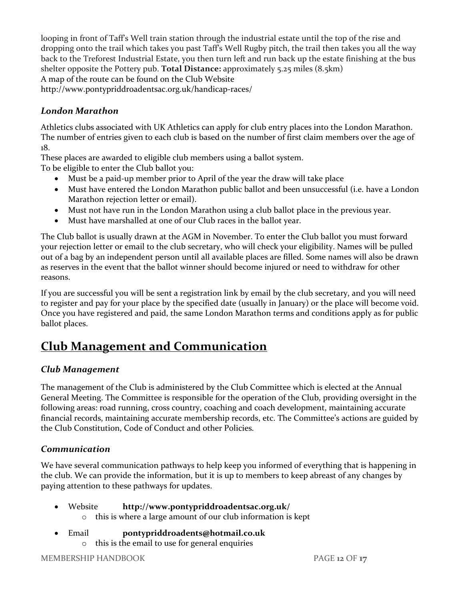looping in front of Taff's Well train station through the industrial estate until the top of the rise and dropping onto the trail which takes you past Taff's Well Rugby pitch, the trail then takes you all the way back to the Treforest Industrial Estate, you then turn left and run back up the estate finishing at the bus shelter opposite the Pottery pub. **Total Distance:** approximately 5.25 miles (8.5km) A map of the route can be found on the Club Website http://www.pontypriddroadentsac.org.uk/handicap-races/

# *London Marathon*

Athletics clubs associated with UK Athletics can apply for club entry places into the London Marathon. The number of entries given to each club is based on the number of first claim members over the age of 18.

These places are awarded to eligible club members using a ballot system.

To be eligible to enter the Club ballot you:

- Must be a paid-up member prior to April of the year the draw will take place
- Must have entered the London Marathon public ballot and been unsuccessful (i.e. have a London Marathon rejection letter or email).
- Must not have run in the London Marathon using a club ballot place in the previous year.
- Must have marshalled at one of our Club races in the ballot year.

The Club ballot is usually drawn at the AGM in November. To enter the Club ballot you must forward your rejection letter or email to the club secretary, who will check your eligibility. Names will be pulled out of a bag by an independent person until all available places are filled. Some names will also be drawn as reserves in the event that the ballot winner should become injured or need to withdraw for other reasons.

If you are successful you will be sent a registration link by email by the club secretary, and you will need to register and pay for your place by the specified date (usually in January) or the place will become void. Once you have registered and paid, the same London Marathon terms and conditions apply as for public ballot places.

# **Club Management and Communication**

# *Club Management*

The management of the Club is administered by the Club Committee which is elected at the Annual General Meeting. The Committee is responsible for the operation of the Club, providing oversight in the following areas: road running, cross country, coaching and coach development, maintaining accurate financial records, maintaining accurate membership records, etc. The Committee's actions are guided by the Club Constitution, Code of Conduct and other Policies.

# *Communication*

We have several communication pathways to help keep you informed of everything that is happening in the club. We can provide the information, but it is up to members to keep abreast of any changes by paying attention to these pathways for updates.

- Website **<http://www.pontypriddroadentsac.org.uk/>**
	- o this is where a large amount of our club information is kept
- Email **[pontypriddroadents@hotmail.co.uk](mailto:pontypriddroadents@hotmail.co.uk)**
	- o this is the email to use for general enquiries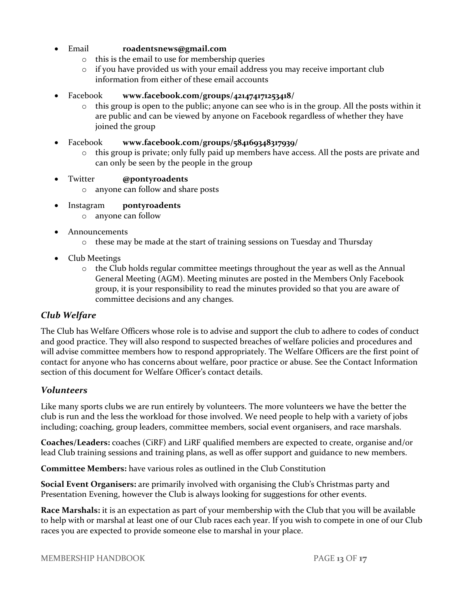- Email **[roadentsnews@gmail.com](mailto:roadentsnews@gmail.com)**
	- o this is the email to use for membership queries
	- $\circ$  if you have provided us with your email address you may receive important club information from either of these email accounts
- Facebook **[www.facebook.com/groups/421474171253418/](http://www.facebook.com/groups/421474171253418/)**
	- $\circ$  this group is open to the public; anyone can see who is in the group. All the posts within it are public and can be viewed by anyone on Facebook regardless of whether they have joined the group
- Facebook **[www.facebook.com/groups/584169348317939/](http://www.facebook.com/groups/584169348317939/)**
	- $\circ$  this group is private; only fully paid up members have access. All the posts are private and can only be seen by the people in the group
- Twitter **@pontyroadents**
	- o anyone can follow and share posts
- Instagram **pontyroadents**
	- o anyone can follow
- Announcements
	- o these may be made at the start of training sessions on Tuesday and Thursday
- Club Meetings
	- $\circ$  the Club holds regular committee meetings throughout the year as well as the Annual General Meeting (AGM). Meeting minutes are posted in the Members Only Facebook group, it is your responsibility to read the minutes provided so that you are aware of committee decisions and any changes.

# *Club Welfare*

The Club has Welfare Officers whose role is to advise and support the club to adhere to codes of conduct and good practice. They will also respond to suspected breaches of welfare policies and procedures and will advise committee members how to respond appropriately. The Welfare Officers are the first point of contact for anyone who has concerns about welfare, poor practice or abuse. See the Contact Information section of this document for Welfare Officer's contact details.

## *Volunteers*

Like many sports clubs we are run entirely by volunteers. The more volunteers we have the better the club is run and the less the workload for those involved. We need people to help with a variety of jobs including; coaching, group leaders, committee members, social event organisers, and race marshals.

**Coaches/Leaders:** coaches (CiRF) and LiRF qualified members are expected to create, organise and/or lead Club training sessions and training plans, as well as offer support and guidance to new members.

**Committee Members:** have various roles as outlined in the Club Constitution

**Social Event Organisers:** are primarily involved with organising the Club's Christmas party and Presentation Evening, however the Club is always looking for suggestions for other events.

**Race Marshals:** it is an expectation as part of your membership with the Club that you will be available to help with or marshal at least one of our Club races each year. If you wish to compete in one of our Club races you are expected to provide someone else to marshal in your place.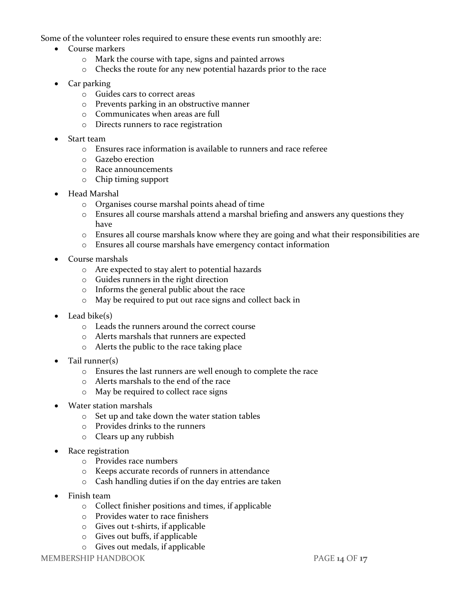Some of the volunteer roles required to ensure these events run smoothly are:

- Course markers
	- o Mark the course with tape, signs and painted arrows
	- o Checks the route for any new potential hazards prior to the race
- Car parking
	- o Guides cars to correct areas
	- o Prevents parking in an obstructive manner
	- o Communicates when areas are full
	- o Directs runners to race registration
- Start team
	- o Ensures race information is available to runners and race referee
	- o Gazebo erection
	- o Race announcements
	- o Chip timing support
- Head Marshal
	- o Organises course marshal points ahead of time
	- o Ensures all course marshals attend a marshal briefing and answers any questions they have
	- o Ensures all course marshals know where they are going and what their responsibilities are
	- o Ensures all course marshals have emergency contact information
- Course marshals
	- o Are expected to stay alert to potential hazards
	- o Guides runners in the right direction
	- o Informs the general public about the race
	- o May be required to put out race signs and collect back in
- $\bullet$  Lead bike(s)
	- o Leads the runners around the correct course
	- o Alerts marshals that runners are expected
	- o Alerts the public to the race taking place
- Tail runner(s)
	- o Ensures the last runners are well enough to complete the race
	- o Alerts marshals to the end of the race
	- o May be required to collect race signs
- Water station marshals
	- o Set up and take down the water station tables
	- o Provides drinks to the runners
	- o Clears up any rubbish
- Race registration
	- o Provides race numbers
	- o Keeps accurate records of runners in attendance
	- o Cash handling duties if on the day entries are taken
- Finish team
	- o Collect finisher positions and times, if applicable
	- o Provides water to race finishers
	- o Gives out t-shirts, if applicable
	- o Gives out buffs, if applicable
	- o Gives out medals, if applicable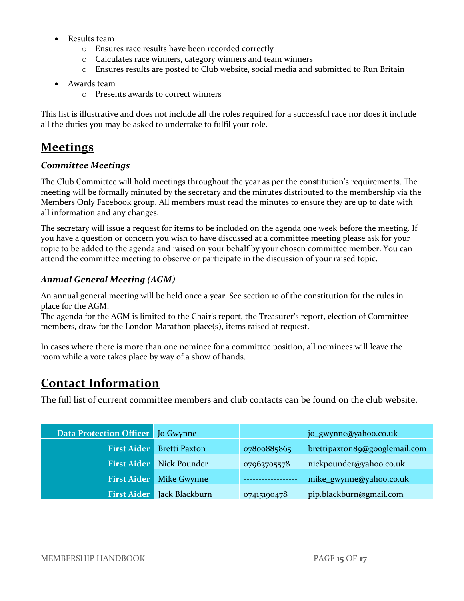- Results team
	- o Ensures race results have been recorded correctly
	- o Calculates race winners, category winners and team winners
	- o Ensures results are posted to Club website, social media and submitted to Run Britain
- Awards team
	- o Presents awards to correct winners

This list is illustrative and does not include all the roles required for a successful race nor does it include all the duties you may be asked to undertake to fulfil your role.

# **Meetings**

# *Committee Meetings*

The Club Committee will hold meetings throughout the year as per the constitution's requirements. The meeting will be formally minuted by the secretary and the minutes distributed to the membership via the Members Only Facebook group. All members must read the minutes to ensure they are up to date with all information and any changes.

The secretary will issue a request for items to be included on the agenda one week before the meeting. If you have a question or concern you wish to have discussed at a committee meeting please ask for your topic to be added to the agenda and raised on your behalf by your chosen committee member. You can attend the committee meeting to observe or participate in the discussion of your raised topic.

# *Annual General Meeting (AGM)*

An annual general meeting will be held once a year. See section 10 of the constitution for the rules in place for the AGM.

The agenda for the AGM is limited to the Chair's report, the Treasurer's report, election of Committee members, draw for the London Marathon place(s), items raised at request.

In cases where there is more than one nominee for a committee position, all nominees will leave the room while a vote takes place by way of a show of hands.

# **Contact Information**

The full list of current committee members and club contacts can be found on the club website.

| <b>Data Protection Officer</b>   Jo Gwynne |                      |             | jo_gwynne@yahoo.co.uk         |
|--------------------------------------------|----------------------|-------------|-------------------------------|
| <b>First Aider</b>                         | <b>Bretti Paxton</b> | 07800885865 | brettipaxton89@googlemail.com |
| <b>First Aider</b>                         | Nick Pounder         | 07963705578 | nickpounder@yahoo.co.uk       |
| <b>First Aider</b>                         | Mike Gwynne          |             | mike_gwynne@yahoo.co.uk       |
| <b>First Aider</b>                         | Jack Blackburn       | 07415190478 | pip.blackburn@gmail.com       |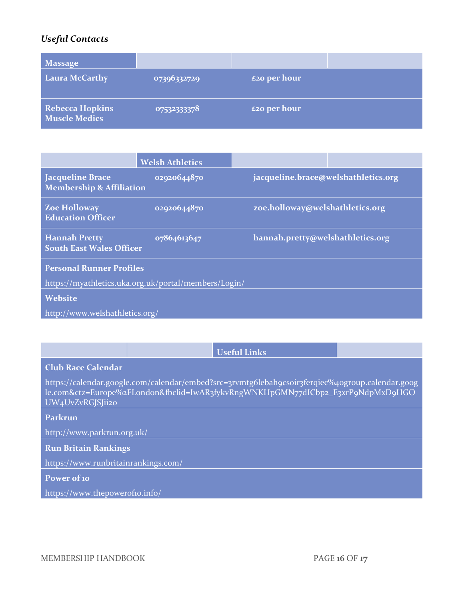# *Useful Contacts*

| <b>Massage</b>                                 |             |                     |  |
|------------------------------------------------|-------------|---------------------|--|
| <b>Laura McCarthy</b>                          | 07396332729 | <b>£20 per hour</b> |  |
| <b>Rebecca Hopkins</b><br><b>Muscle Medics</b> | 07532333378 | <b>£20 per hour</b> |  |

|                                                                | <b>Welsh Athletics</b> |                                     |  |  |
|----------------------------------------------------------------|------------------------|-------------------------------------|--|--|
| <b>Jacqueline Brace</b><br><b>Membership &amp; Affiliation</b> | 02020644870            | jacqueline.brace@welshathletics.org |  |  |
| <b>Zoe Holloway</b><br><b>Education Officer</b>                | 02920644870            | zoe.holloway@welshathletics.org     |  |  |
| <b>Hannah Pretty</b><br><b>South East Wales Officer</b>        | 07864613647            | hannah.pretty@welshathletics.org    |  |  |
| <b>Personal Runner Profiles</b>                                |                        |                                     |  |  |
| https://myathletics.uka.org.uk/portal/members/Login/           |                        |                                     |  |  |
| <b>Website</b>                                                 |                        |                                     |  |  |
| http://www.welshathletics.org/                                 |                        |                                     |  |  |

|                                                                                                                                                                                                        |  | <b>Useful Links</b> |  |  |
|--------------------------------------------------------------------------------------------------------------------------------------------------------------------------------------------------------|--|---------------------|--|--|
| <b>Club Race Calendar</b>                                                                                                                                                                              |  |                     |  |  |
| https://calendar.google.com/calendar/embed?src=3rvmtg6lebah9csoir3ferqiec%40group.calendar.goog<br>le.com&ctz=Europe%2FLondon&fbclid=IwAR3fykvRngWNKHpGMN77dICbp2_E3xrP9NdpMxD9HGO<br>UW4UvZvRGJSJii20 |  |                     |  |  |
| Parkrun                                                                                                                                                                                                |  |                     |  |  |
| http://www.parkrun.org.uk/                                                                                                                                                                             |  |                     |  |  |
| <b>Run Britain Rankings</b>                                                                                                                                                                            |  |                     |  |  |
| https://www.runbritainrankings.com/                                                                                                                                                                    |  |                     |  |  |
| <b>Power of 10</b>                                                                                                                                                                                     |  |                     |  |  |
| https://www.thepowerofio.info/                                                                                                                                                                         |  |                     |  |  |